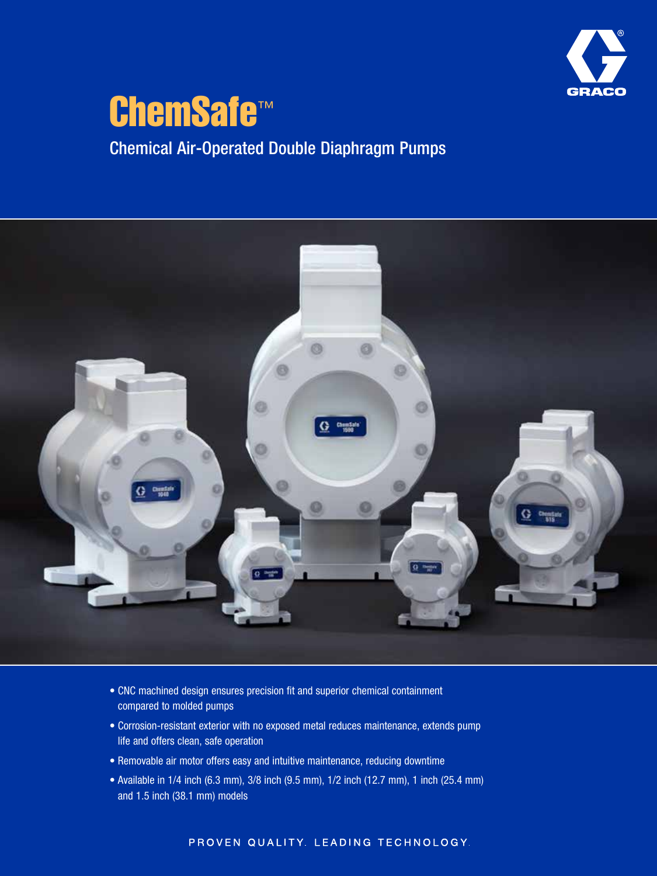

## ChemSafe<sup>™</sup> Chemical Air-Operated Double Diaphragm Pumps



- CNC machined design ensures precision fit and superior chemical containment compared to molded pumps
- Corrosion-resistant exterior with no exposed metal reduces maintenance, extends pump life and offers clean, safe operation
- Removable air motor offers easy and intuitive maintenance, reducing downtime
- Available in 1/4 inch (6.3 mm), 3/8 inch (9.5 mm), 1/2 inch (12.7 mm), 1 inch (25.4 mm) and 1.5 inch (38.1 mm) models

### PROVEN QUALITY. LEADING TECHNOLOGY.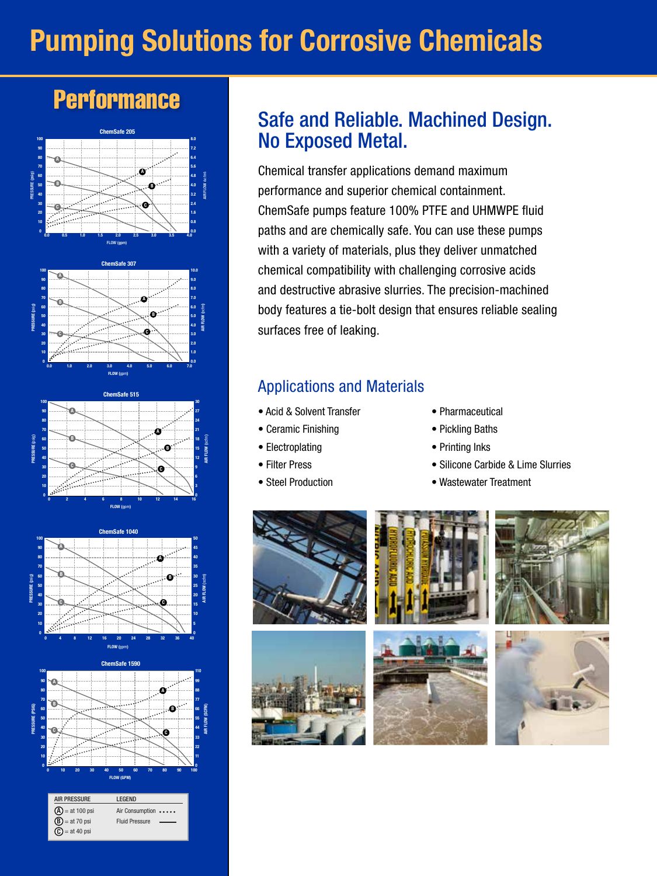# Pumping Solutions for Corrosive Chemicals

## **Performance**



AIR PRESSURE LEGEND

 $=$  at 40 psi

 $^\circledR$  $\circledR$ C

0 10

> = at 100 psi Air Consumption..... = at 70 psi Fluid Pressure

0 10 20 30 40 50 60 70 80 90 100

FLOW (GPM)

0 11

### Safe and Reliable. Machined Design. No Exposed Metal.

Chemical transfer applications demand maximum performance and superior chemical containment. ChemSafe pumps feature 100% PTFE and UHMWPE fluid paths and are chemically safe. You can use these pumps with a variety of materials, plus they deliver unmatched chemical compatibility with challenging corrosive acids and destructive abrasive slurries. The precision-machined body features a tie-bolt design that ensures reliable sealing surfaces free of leaking.

### Applications and Materials

- Acid & Solvent Transfer
- Ceramic Finishing
- Electroplating
- Filter Press
- Steel Production
- Pharmaceutical
- Pickling Baths
- Printing Inks
- Silicone Carbide & Lime Slurries
- Wastewater Treatment

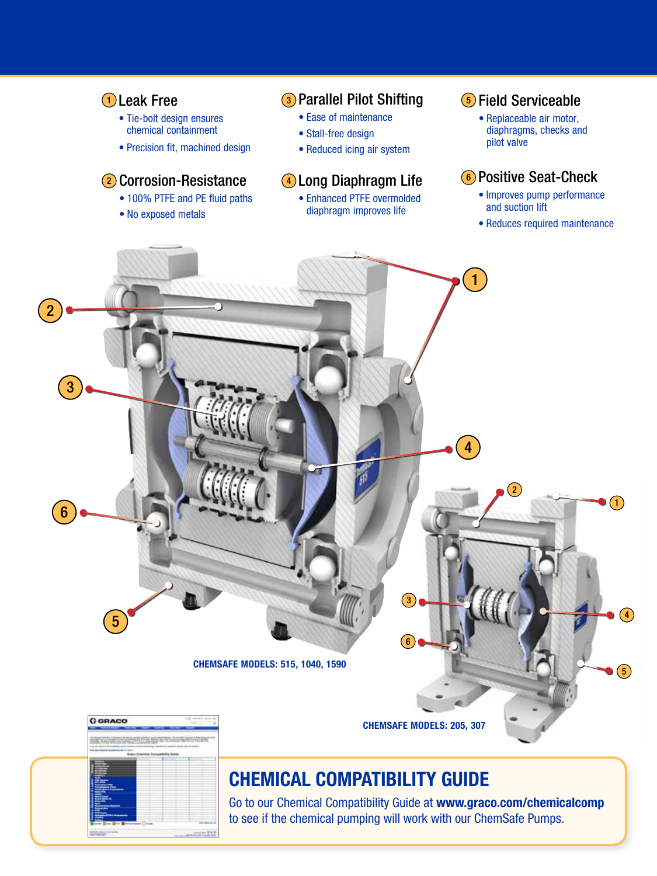

### CHEMICAL COMPATIBILITY GUIDE

Go to our Chemical Compatibility Guide at www.graco.com/chemicalcomp to see if the chemical pumping will work with our ChemSafe Pumps.